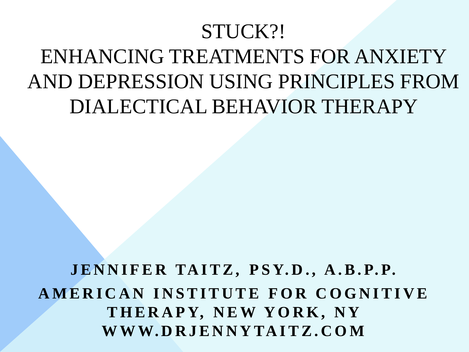# STUCK?! ENHANCING TREATMENTS FOR ANXIETY AND DEPRESSION USING PRINCIPLES FROM DIALECTICAL BEHAVIOR THERAPY

JENNIFER TAITZ, PSY.D., A.B.P.P. **A M E R I C A N I N S T I T U T E F O R C O G N I T I V E T H E R A P Y, N E W Y O R K , N Y W W W. D R J E N N Y TA I T Z . C O M**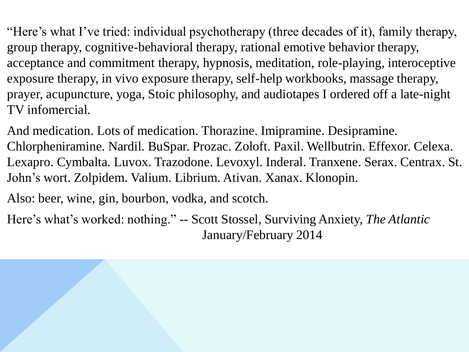"Here's what I've tried: individual psychotherapy (three decades of it), family therapy, group therapy, cognitive-behavioral therapy, rational emotive behavior therapy, acceptance and commitment therapy, hypnosis, meditation, role-playing, interoceptive exposure therapy, in vivo exposure therapy, self-help workbooks, massage therapy, prayer, acupuncture, yoga, Stoic philosophy, and audiotapes I ordered off a late-night TV infomercial.

And medication. Lots of medication. Thorazine. Imipramine. Desipramine. Chlorpheniramine. Nardil. BuSpar. Prozac. Zoloft. Paxil. Wellbutrin. Effexor. Celexa. Lexapro. Cymbalta. Luvox. Trazodone. Levoxyl. Inderal. Tranxene. Serax. Centrax. St. John's wort. Zolpidem. Valium. Librium. Ativan. Xanax. Klonopin.

Also: beer, wine, gin, bourbon, vodka, and scotch.

Here's what's worked: nothing." -- Scott Stossel, Surviving Anxiety, *The Atlantic*  January/February 2014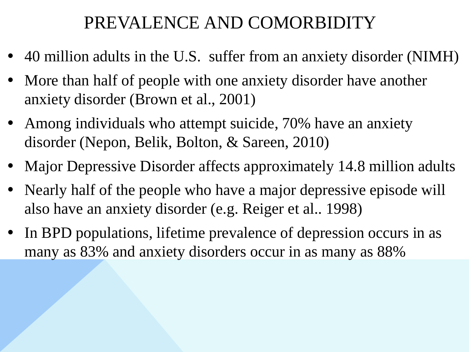### PREVALENCE AND COMORBIDITY

- 40 million adults in the U.S. suffer from an anxiety disorder (NIMH)
- More than half of people with one anxiety disorder have another anxiety disorder (Brown et al., 2001)
- Among individuals who attempt suicide, 70% have an anxiety disorder (Nepon, Belik, Bolton, & Sareen, 2010)
- Major Depressive Disorder affects approximately 14.8 million adults
- Nearly half of the people who have a major depressive episode will also have an anxiety disorder (e.g. Reiger et al.. 1998)
- In BPD populations, lifetime prevalence of depression occurs in as many as 83% and anxiety disorders occur in as many as 88%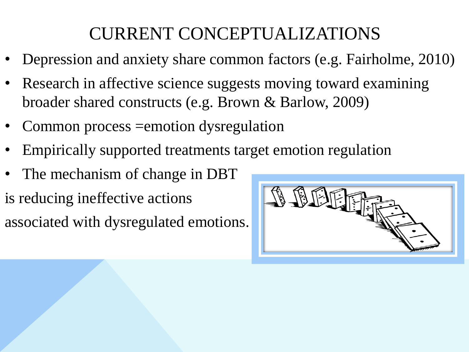## CURRENT CONCEPTUALIZATIONS

- Depression and anxiety share common factors (e.g. Fairholme, 2010)
- Research in affective science suggests moving toward examining broader shared constructs (e.g. Brown & Barlow, 2009)
- Common process =emotion dysregulation
- Empirically supported treatments target emotion regulation
- The mechanism of change in DBT
- is reducing ineffective actions

associated with dysregulated emotions.

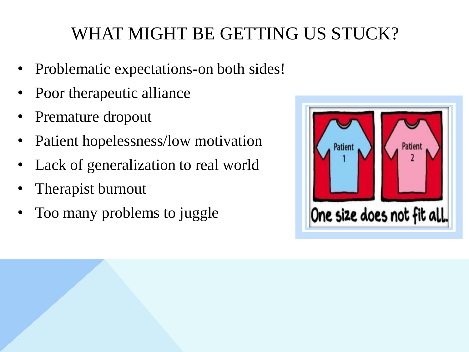## WHAT MIGHT BE GETTING US STUCK?

- Problematic expectations-on both sides!
- Poor therapeutic alliance
- Premature dropout
- Patient hopelessness/low motivation
- Lack of generalization to real world
- Therapist burnout
- Too many problems to juggle

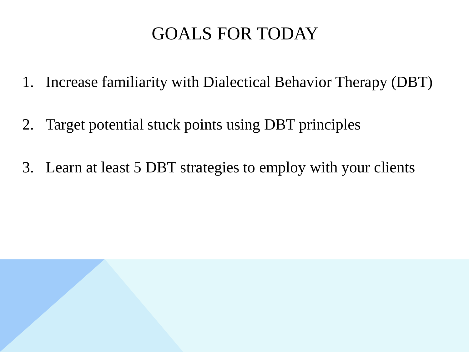### GOALS FOR TODAY

- 1. Increase familiarity with Dialectical Behavior Therapy (DBT)
- 2. Target potential stuck points using DBT principles
- 3. Learn at least 5 DBT strategies to employ with your clients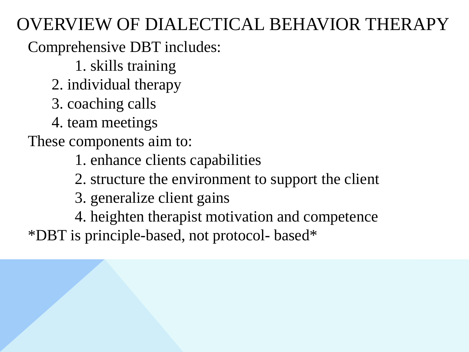### OVERVIEW OF DIALECTICAL BEHAVIOR THERAPY

Comprehensive DBT includes:

1. skills training

- 2. individual therapy
- 3. coaching calls
- 4. team meetings

These components aim to:

- 1. enhance clients capabilities
- 2. structure the environment to support the client
- 3. generalize client gains

4. heighten therapist motivation and competence \*DBT is principle-based, not protocol- based\*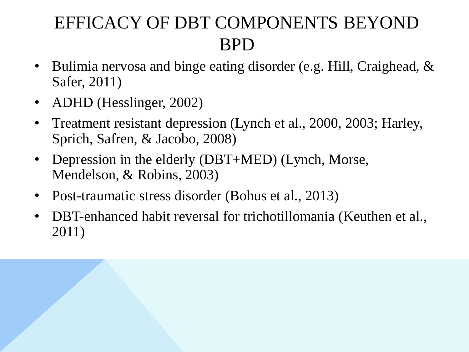### EFFICACY OF DBT COMPONENTS BEYOND BPD

- Bulimia nervosa and binge eating disorder (e.g. Hill, Craighead, & Safer, 2011)
- ADHD (Hesslinger, 2002)
- Treatment resistant depression (Lynch et al., 2000, 2003; Harley, Sprich, Safren, & Jacobo, 2008)
- Depression in the elderly (DBT+MED) (Lynch, Morse, Mendelson, & Robins, 2003)
- Post-traumatic stress disorder (Bohus et al., 2013)
- DBT-enhanced habit reversal for trichotillomania (Keuthen et al., 2011)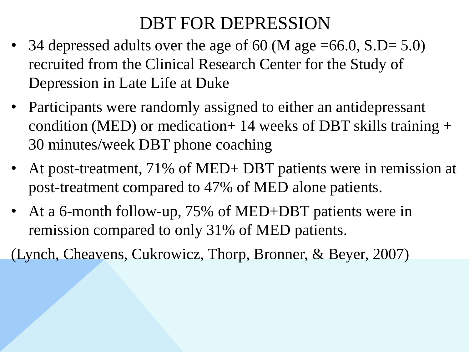### DBT FOR DEPRESSION

- 34 depressed adults over the age of 60 (M age =66.0, S.D= 5.0) recruited from the Clinical Research Center for the Study of Depression in Late Life at Duke
- Participants were randomly assigned to either an antidepressant condition (MED) or medication + 14 weeks of DBT skills training  $+$ 30 minutes/week DBT phone coaching
- At post-treatment, 71% of MED+ DBT patients were in remission at post-treatment compared to 47% of MED alone patients.
- At a 6-month follow-up, 75% of MED+DBT patients were in remission compared to only 31% of MED patients.

(Lynch, Cheavens, Cukrowicz, Thorp, Bronner, & Beyer, 2007)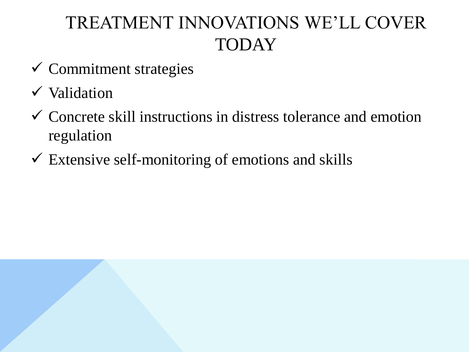## TREATMENT INNOVATIONS WE'LL COVER TODAY

- $\checkmark$  Commitment strategies
- $\checkmark$  Validation
- $\checkmark$  Concrete skill instructions in distress tolerance and emotion regulation
- $\checkmark$  Extensive self-monitoring of emotions and skills

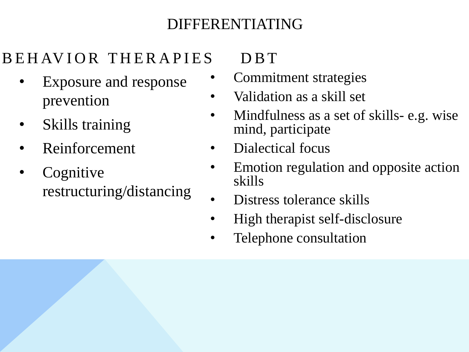#### DIFFERENTIATING

#### B E HAVIOR THE RAPIES

- Exposure and response prevention
- Skills training
- Reinforcement
- **Cognitive** restructuring/distancing

DBT

- Commitment strategies
- Validation as a skill set
- Mindfulness as a set of skills- e.g. wise mind, participate
- Dialectical focus
- Emotion regulation and opposite action skills
- Distress tolerance skills
- High therapist self-disclosure
- Telephone consultation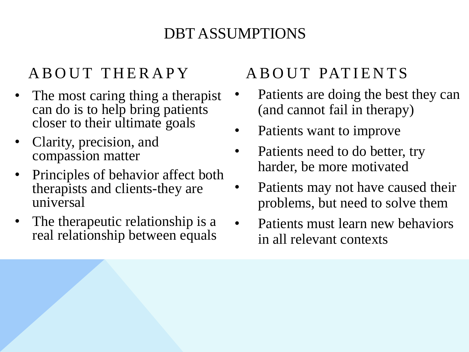#### DBT ASSUMPTIONS

#### A BOUT THERAPY

- The most caring thing a therapist can do is to help bring patients closer to their ultimate goals
- Clarity, precision, and compassion matter
- Principles of behavior affect both therapists and clients-they are universal
- The therapeutic relationship is a real relationship between equals

### A BOUT PATIENTS

- Patients are doing the best they can (and cannot fail in therapy)
- Patients want to improve
- Patients need to do better, try harder, be more motivated
- Patients may not have caused their problems, but need to solve them
- Patients must learn new behaviors in all relevant contexts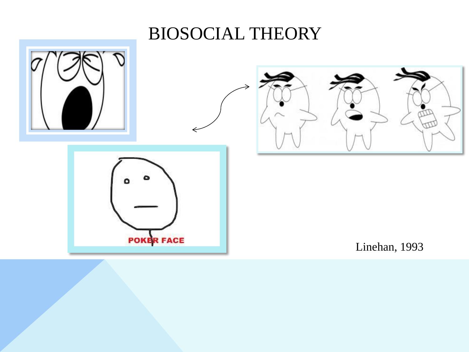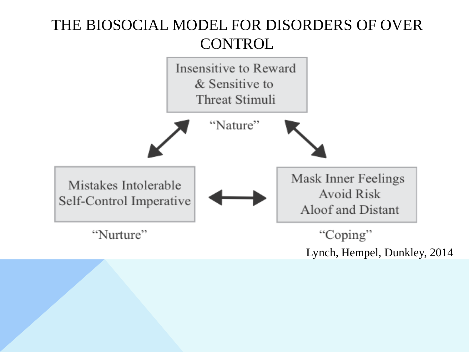#### THE BIOSOCIAL MODEL FOR DISORDERS OF OVER **CONTROL**



Lynch, Hempel, Dunkley, 2014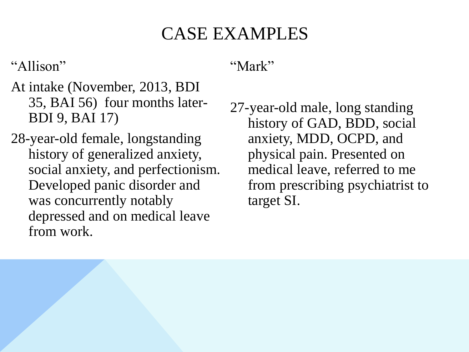#### CASE EXAMPLES

"Allison"

- At intake (November, 2013, BDI 35, BAI 56) four months later-BDI 9, BAI 17)
- 28-year-old female, longstanding history of generalized anxiety, social anxiety, and perfectionism. Developed panic disorder and was concurrently notably depressed and on medical leave from work.

"Mark"

27-year-old male, long standing history of GAD, BDD, social anxiety, MDD, OCPD, and physical pain. Presented on medical leave, referred to me from prescribing psychiatrist to target SI.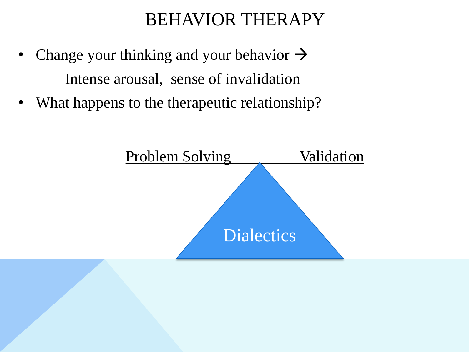#### BEHAVIOR THERAPY

- Change your thinking and your behavior  $\rightarrow$ Intense arousal, sense of invalidation
- What happens to the therapeutic relationship?

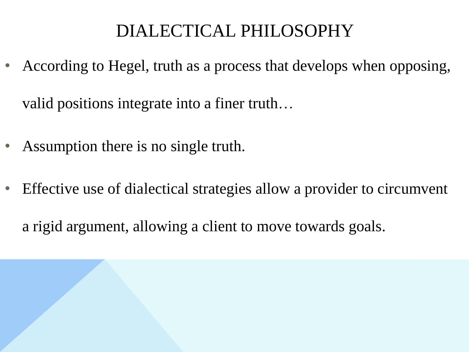### DIALECTICAL PHILOSOPHY

• According to Hegel, truth as a process that develops when opposing,

valid positions integrate into a finer truth…

- Assumption there is no single truth.
- Effective use of dialectical strategies allow a provider to circumvent

a rigid argument, allowing a client to move towards goals.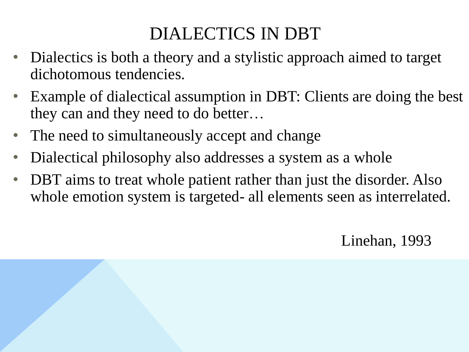## DIALECTICS IN DBT

- Dialectics is both a theory and a stylistic approach aimed to target dichotomous tendencies.
- Example of dialectical assumption in DBT: Clients are doing the best they can and they need to do better…
- The need to simultaneously accept and change
- Dialectical philosophy also addresses a system as a whole
- DBT aims to treat whole patient rather than just the disorder. Also whole emotion system is targeted- all elements seen as interrelated.

Linehan, 1993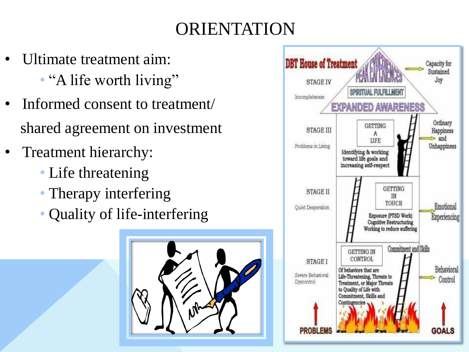## ORIENTATION

- Ultimate treatment aim: • "A life worth living"
- Informed consent to treatment/ shared agreement on investment
- Treatment hierarchy:
	- Life threatening
	- Therapy interfering
	- Quality of life-interfering



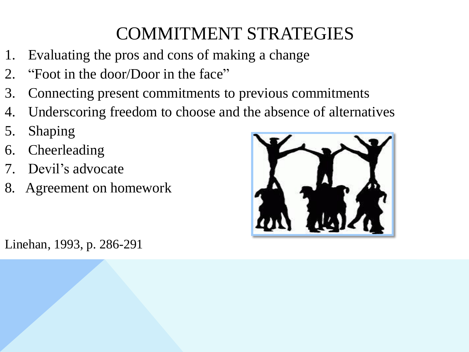## COMMITMENT STRATEGIES

- 1. Evaluating the pros and cons of making a change
- 2. "Foot in the door/Door in the face"
- 3. Connecting present commitments to previous commitments
- 4. Underscoring freedom to choose and the absence of alternatives
- 5. Shaping
- 6. Cheerleading
- 7. Devil's advocate
- 8. Agreement on homework



Linehan, 1993, p. 286-291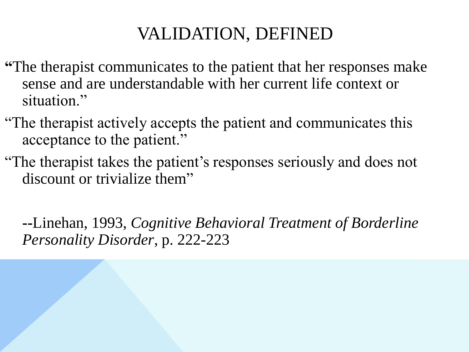### VALIDATION, DEFINED

- **"**The therapist communicates to the patient that her responses make sense and are understandable with her current life context or situation."
- "The therapist actively accepts the patient and communicates this acceptance to the patient."
- "The therapist takes the patient's responses seriously and does not discount or trivialize them"

**--**Linehan, 1993, *Cognitive Behavioral Treatment of Borderline Personality Disorder*, p. 222-223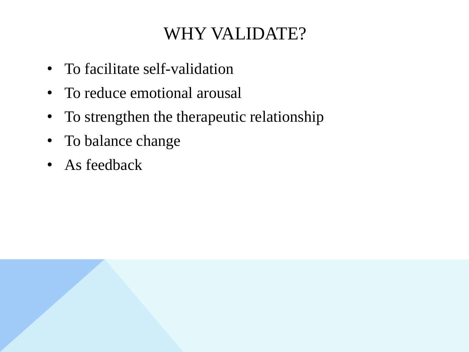### WHY VALIDATE?

- To facilitate self-validation
- To reduce emotional arousal
- To strengthen the therapeutic relationship
- To balance change
- As feedback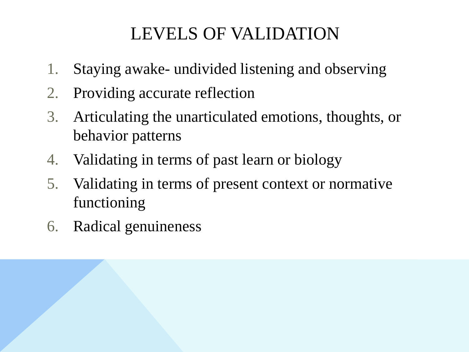### LEVELS OF VALIDATION

- 1. Staying awake- undivided listening and observing
- 2. Providing accurate reflection
- 3. Articulating the unarticulated emotions, thoughts, or behavior patterns
- 4. Validating in terms of past learn or biology
- 5. Validating in terms of present context or normative functioning
- 6. Radical genuineness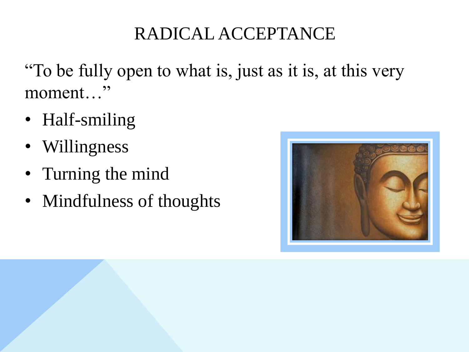### RADICAL ACCEPTANCE

"To be fully open to what is, just as it is, at this very moment…"

- Half-smiling
- Willingness
- Turning the mind
- Mindfulness of thoughts

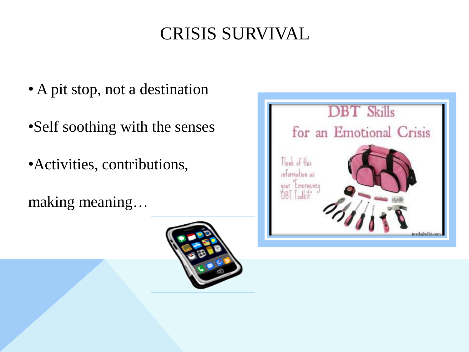### CRISIS SURVIVAL

- A pit stop, not a destination
- •Self soothing with the senses
- •Activities, contributions,

making meaning…



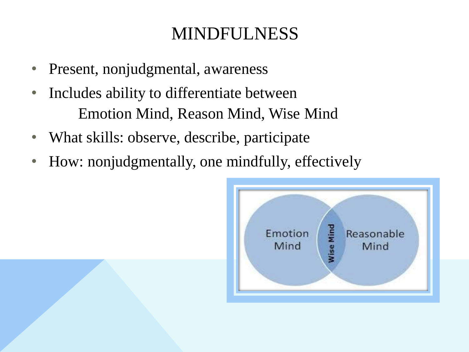### MINDFULNESS

- Present, nonjudgmental, awareness
- Includes ability to differentiate between Emotion Mind, Reason Mind, Wise Mind
- What skills: observe, describe, participate
- How: nonjudgmentally, one mindfully, effectively

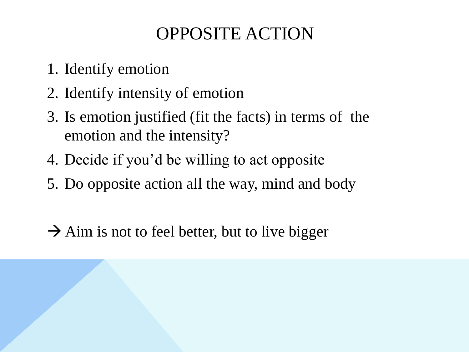### OPPOSITE ACTION

- 1. Identify emotion
- 2. Identify intensity of emotion
- 3. Is emotion justified (fit the facts) in terms of the emotion and the intensity?
- 4. Decide if you'd be willing to act opposite
- 5. Do opposite action all the way, mind and body
- $\rightarrow$  Aim is not to feel better, but to live bigger

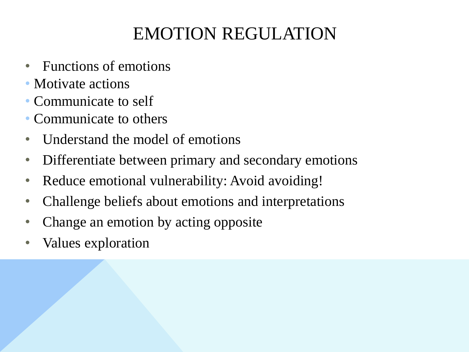## EMOTION REGULATION

- Functions of emotions
- Motivate actions
- Communicate to self
- Communicate to others
- Understand the model of emotions
- Differentiate between primary and secondary emotions
- Reduce emotional vulnerability: Avoid avoiding!
- Challenge beliefs about emotions and interpretations
- Change an emotion by acting opposite
- Values exploration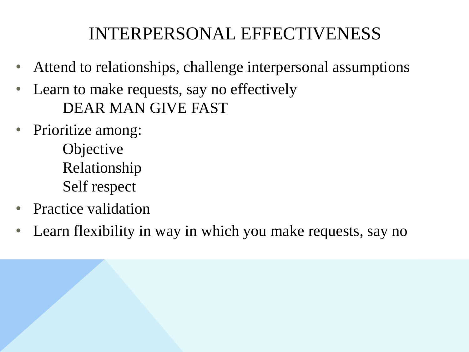### INTERPERSONAL EFFECTIVENESS

- Attend to relationships, challenge interpersonal assumptions
- Learn to make requests, say no effectively DEAR MAN GIVE FAST
- Prioritize among:
	- Objective Relationship Self respect
- Practice validation
- Learn flexibility in way in which you make requests, say no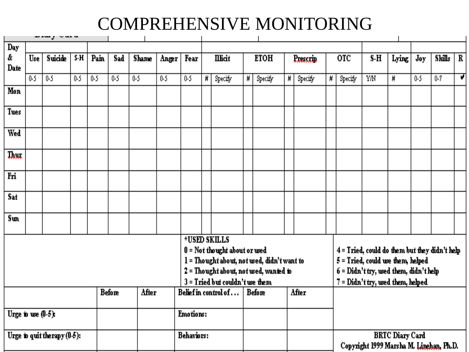### COMPREHENSIVE MONITORING

| Day<br>&<br>Date               | Use   | Suicide | S-H   | Pain  | <b>Sad</b> | Shame     | Anger | Fear                                                                                                                                                                          | <b>Illicit</b> |         | <b>ETOH</b> |              |           | <b>Execute</b> |                                                                                                                                                                     | <b>OTC</b>                                                        | $S-H$ | Lying | Joy   | \$kHz   | R |
|--------------------------------|-------|---------|-------|-------|------------|-----------|-------|-------------------------------------------------------------------------------------------------------------------------------------------------------------------------------|----------------|---------|-------------|--------------|-----------|----------------|---------------------------------------------------------------------------------------------------------------------------------------------------------------------|-------------------------------------------------------------------|-------|-------|-------|---------|---|
|                                | $0-5$ | $0-5$   | $0-5$ | $0-5$ | $0-5$      | $0-5$     | $0-5$ | $0-5$                                                                                                                                                                         | Ħ              | Specify | Ħ           | Specify      | $\vert$ # | Specify        | $\sharp$                                                                                                                                                            | Specify                                                           | YN    | Ħ     | $0-5$ | $0 - 7$ | ▼ |
| Mon                            |       |         |       |       |            |           |       |                                                                                                                                                                               |                |         |             |              |           |                |                                                                                                                                                                     |                                                                   |       |       |       |         |   |
| Tues                           |       |         |       |       |            |           |       |                                                                                                                                                                               |                |         |             |              |           |                |                                                                                                                                                                     |                                                                   |       |       |       |         |   |
| <b>Wed</b>                     |       |         |       |       |            |           |       |                                                                                                                                                                               |                |         |             |              |           |                |                                                                                                                                                                     |                                                                   |       |       |       |         |   |
| <b>Thur</b>                    |       |         |       |       |            |           |       |                                                                                                                                                                               |                |         |             |              |           |                |                                                                                                                                                                     |                                                                   |       |       |       |         |   |
| Fri                            |       |         |       |       |            |           |       |                                                                                                                                                                               |                |         |             |              |           |                |                                                                                                                                                                     |                                                                   |       |       |       |         |   |
| Sat                            |       |         |       |       |            |           |       |                                                                                                                                                                               |                |         |             |              |           |                |                                                                                                                                                                     |                                                                   |       |       |       |         |   |
| S <sub>un</sub>                |       |         |       |       |            |           |       |                                                                                                                                                                               |                |         |             |              |           |                |                                                                                                                                                                     |                                                                   |       |       |       |         |   |
|                                |       |         |       |       |            |           |       | *USED SKILLS<br>$0 = Not$ thought about or used<br>1 = Thought about, not used, didn't want to<br>2 = Thought about, not used, wanted to<br>$3 =$ Tried but couldn't use them |                |         |             |              |           |                | 4 = Tried, could do them but they didn't help<br>$5 =$ Tried, could use them, helped<br>6 = Didn't try, used them, didn't help<br>7 = Didn't try, used them, helped |                                                                   |       |       |       |         |   |
| <b>After</b><br><b>Before</b>  |       |         |       |       |            |           |       | Belief in control of                                                                                                                                                          |                | Before  |             | <b>After</b> |           |                |                                                                                                                                                                     |                                                                   |       |       |       |         |   |
| Urge to use $(0-5)$ :          |       |         |       |       |            | Emotions: |       |                                                                                                                                                                               |                |         |             |              |           |                |                                                                                                                                                                     |                                                                   |       |       |       |         |   |
| Urge to quit therapy $(0.5)$ : |       |         |       |       |            |           |       | Behaviors:                                                                                                                                                                    |                |         |             |              |           |                |                                                                                                                                                                     | <b>BRTC Diary Card</b><br>Copyright 1999 Marsha M. Linehan, Ph.D. |       |       |       |         |   |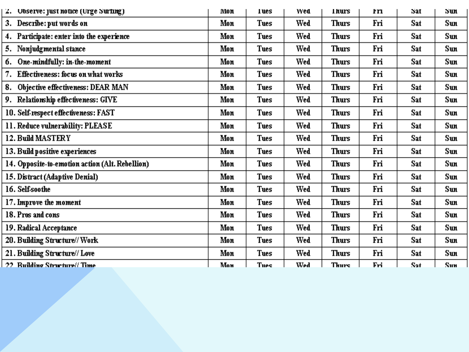| 2. Ubserve: just nonce (Urge Suring)            | Mon | l ues       | wed | <b>THALL</b> | ŀп  | sat      | SШ  |
|-------------------------------------------------|-----|-------------|-----|--------------|-----|----------|-----|
| 3. Describe: put words on                       | Mon | Tues        | Wed | <b>Thurs</b> | Fri | Sat      | Sun |
| 4. Participate: enter into the experience       | Mon | <b>Tues</b> | Wed | Thurs        | Fri | Sat      | Sun |
| Nonjudgmental stance<br>5.                      | Mon | Tues        | Wed | Thurs        | Fri | Sat      | Sun |
| One-mindfully: in-the-moment<br>6.              | Mon | Tues        | Wed | <b>Thurs</b> | Fri | Sat      | Sun |
| Effectiveness: focus on what works<br>7.        | Mon | Tues        | Wed | Thurs        | Fri | Sat      | Sun |
| Objective effectiveness: DEAR MAN<br>8.         | Mon | Tues        | Wed | <b>Thurs</b> | Fri | Sat      | Sun |
| Relationship effectiveness: GIVE<br>9.          | Mon | Tues        | Wed | Thurs        | Fri | Sat      | Sun |
| 10. Self-respect effectiveness: FAST            | Mon | Tues        | Wed | <b>Thurs</b> | Fri | Sat      | Sun |
| 11. Reduce vulnerability: PLEASE                | Mon | <b>Tues</b> | Wed | <b>Thurs</b> | Fri | Sat      | Sun |
| <b>12. Build MASTERY</b>                        | Mon | Tues        | Wed | Thurs        | Fri | Sat      | Sun |
| 13. Build positive experiences                  | Mon | Tues        | Wed | Thurs        | Fri | Sat      | Sun |
| 14. Opposite-to-emotion action (Alt. Rebellion) | Mon | Tues        | Wed | Thurs        | Fri | Sat      | Sun |
| 15. Distract (Adaptive Denial)                  | Mon | Tues        | Wed | Thurs        | Fri | Sat      | Sun |
| 16. Self-soothe                                 | Mon | Tues        | Wed | Thurs        | Fri | Sat      | Sun |
| 17. Improve the moment                          | Mon | Tues        | Wed | Thurs        | Fri | Sat      | Sun |
| 18. Pros and cons                               | Mon | Tues        | Wed | Thurs        | Fri | Sat      | Sun |
| 19. Radical Acceptance                          | Mon | <b>Tues</b> | Wed | Thurs        | Fri | Sat      | Sun |
| 20. Building Structure//Work                    | Mon | Tues        | Wed | Thurs        | Fri | Sat      | Sun |
| 21. Building Structure// Love                   | Mon | <b>Tues</b> | Wed | Thurs        | Fri | Sat      | Sun |
| 22 Building Structure // Time                   | Mon | Tues        | Wed | Thure        | Fri | $S_{21}$ | Sun |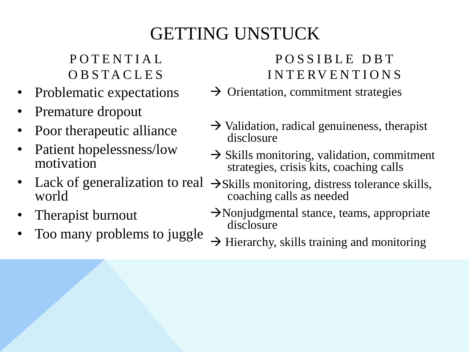## GETTING UNSTUCK

#### **POTENTIAL OBSTACLES**

- Problematic expectations
- Premature dropout
- Poor therapeutic alliance
- Patient hopelessness/low motivation
- Lack of generalization to real world
- Therapist burnout
- Too many problems to juggle

#### POSSIBLE DBT I N T E RV E N T I O N S

- $\rightarrow$  Orientation, commitment strategies
- $\rightarrow$  Validation, radical genuineness, therapist disclosure
- $\rightarrow$  Skills monitoring, validation, commitment strategies, crisis kits, coaching calls
- $\rightarrow$ Skills monitoring, distress tolerance skills, coaching calls as needed
	- $\rightarrow$ Nonjudgmental stance, teams, appropriate disclosure
	- $\rightarrow$  Hierarchy, skills training and monitoring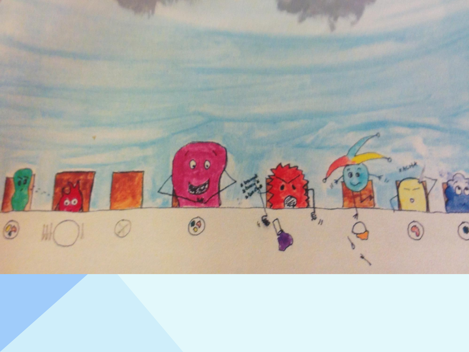